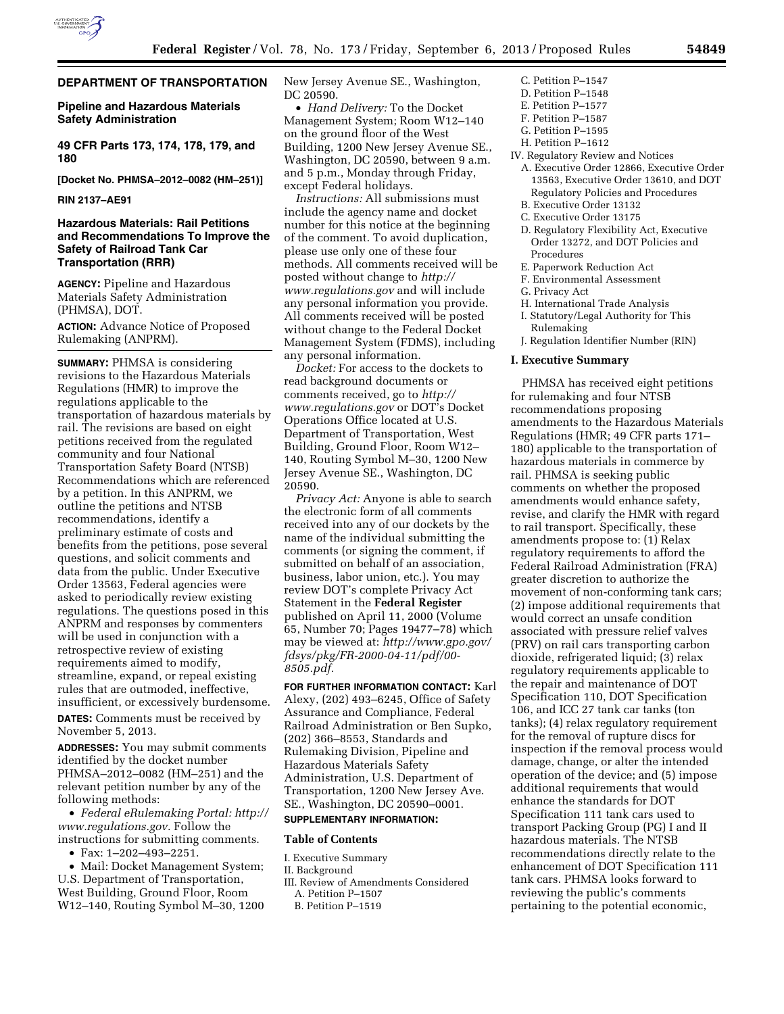

# **DEPARTMENT OF TRANSPORTATION**

# **Pipeline and Hazardous Materials Safety Administration**

**49 CFR Parts 173, 174, 178, 179, and 180** 

**[Docket No. PHMSA–2012–0082 (HM–251)]** 

## **RIN 2137–AE91**

# **Hazardous Materials: Rail Petitions and Recommendations To Improve the Safety of Railroad Tank Car Transportation (RRR)**

**AGENCY:** Pipeline and Hazardous Materials Safety Administration (PHMSA), DOT.

**ACTION:** Advance Notice of Proposed Rulemaking (ANPRM).

**SUMMARY:** PHMSA is considering revisions to the Hazardous Materials Regulations (HMR) to improve the regulations applicable to the transportation of hazardous materials by rail. The revisions are based on eight petitions received from the regulated community and four National Transportation Safety Board (NTSB) Recommendations which are referenced by a petition. In this ANPRM, we outline the petitions and NTSB recommendations, identify a preliminary estimate of costs and benefits from the petitions, pose several questions, and solicit comments and data from the public. Under Executive Order 13563, Federal agencies were asked to periodically review existing regulations. The questions posed in this ANPRM and responses by commenters will be used in conjunction with a retrospective review of existing requirements aimed to modify, streamline, expand, or repeal existing rules that are outmoded, ineffective, insufficient, or excessively burdensome.

**DATES:** Comments must be received by November 5, 2013.

**ADDRESSES:** You may submit comments identified by the docket number PHMSA–2012–0082 (HM–251) and the relevant petition number by any of the following methods:

• *Federal eRulemaking Portal: [http://](http://www.regulations.gov)  [www.regulations.gov.](http://www.regulations.gov)* Follow the instructions for submitting comments.

• Fax: 1–202–493–2251.

• Mail: Docket Management System; U.S. Department of Transportation, West Building, Ground Floor, Room W12–140, Routing Symbol M–30, 1200 New Jersey Avenue SE., Washington, DC 20590.

• *Hand Delivery:* To the Docket Management System; Room W12–140 on the ground floor of the West Building, 1200 New Jersey Avenue SE., Washington, DC 20590, between 9 a.m. and 5 p.m., Monday through Friday, except Federal holidays.

*Instructions:* All submissions must include the agency name and docket number for this notice at the beginning of the comment. To avoid duplication, please use only one of these four methods. All comments received will be posted without change to *[http://](http://www.regulations.gov) [www.regulations.gov](http://www.regulations.gov)* and will include any personal information you provide. All comments received will be posted without change to the Federal Docket Management System (FDMS), including any personal information.

*Docket:* For access to the dockets to read background documents or comments received, go to *[http://](http://www.regulations.gov) [www.regulations.gov](http://www.regulations.gov)* or DOT's Docket Operations Office located at U.S. Department of Transportation, West Building, Ground Floor, Room W12– 140, Routing Symbol M–30, 1200 New Jersey Avenue SE., Washington, DC 20590.

*Privacy Act:* Anyone is able to search the electronic form of all comments received into any of our dockets by the name of the individual submitting the comments (or signing the comment, if submitted on behalf of an association, business, labor union, etc.). You may review DOT's complete Privacy Act Statement in the **Federal Register**  published on April 11, 2000 (Volume 65, Number 70; Pages 19477–78) which may be viewed at: *[http://www.gpo.gov/](http://www.gpo.gov/fdsys/pkg/FR-2000-04-11/pdf/00-8505.pdf)  [fdsys/pkg/FR-2000-04-11/pdf/00-](http://www.gpo.gov/fdsys/pkg/FR-2000-04-11/pdf/00-8505.pdf)  [8505.pdf.](http://www.gpo.gov/fdsys/pkg/FR-2000-04-11/pdf/00-8505.pdf)* 

**FOR FURTHER INFORMATION CONTACT:** Karl Alexy, (202) 493–6245, Office of Safety Assurance and Compliance, Federal Railroad Administration or Ben Supko, (202) 366–8553, Standards and Rulemaking Division, Pipeline and Hazardous Materials Safety Administration, U.S. Department of Transportation, 1200 New Jersey Ave. SE., Washington, DC 20590–0001. **SUPPLEMENTARY INFORMATION:** 

# **Table of Contents**

I. Executive Summary

II. Background

- III. Review of Amendments Considered
- A. Petition P–1507
- B. Petition P–1519
- C. Petition P–1547 D. Petition P–1548
- E. Petition P–1577
- F. Petition P–1587
- G. Petition P–1595
- H. Petition P–1612
- IV. Regulatory Review and Notices
	- A. Executive Order 12866, Executive Order 13563, Executive Order 13610, and DOT Regulatory Policies and Procedures
	- B. Executive Order 13132 C. Executive Order 13175
	- D. Regulatory Flexibility Act, Executive
	- Order 13272, and DOT Policies and Procedures
	- E. Paperwork Reduction Act
	- F. Environmental Assessment
	- G. Privacy Act
	- H. International Trade Analysis
	- I. Statutory/Legal Authority for This Rulemaking
	- J. Regulation Identifier Number (RIN)

#### **I. Executive Summary**

PHMSA has received eight petitions for rulemaking and four NTSB recommendations proposing amendments to the Hazardous Materials Regulations (HMR; 49 CFR parts 171– 180) applicable to the transportation of hazardous materials in commerce by rail. PHMSA is seeking public comments on whether the proposed amendments would enhance safety, revise, and clarify the HMR with regard to rail transport. Specifically, these amendments propose to: (1) Relax regulatory requirements to afford the Federal Railroad Administration (FRA) greater discretion to authorize the movement of non-conforming tank cars; (2) impose additional requirements that would correct an unsafe condition associated with pressure relief valves (PRV) on rail cars transporting carbon dioxide, refrigerated liquid; (3) relax regulatory requirements applicable to the repair and maintenance of DOT Specification 110, DOT Specification 106, and ICC 27 tank car tanks (ton tanks); (4) relax regulatory requirement for the removal of rupture discs for inspection if the removal process would damage, change, or alter the intended operation of the device; and (5) impose additional requirements that would enhance the standards for DOT Specification 111 tank cars used to transport Packing Group (PG) I and II hazardous materials. The NTSB recommendations directly relate to the enhancement of DOT Specification 111 tank cars. PHMSA looks forward to reviewing the public's comments pertaining to the potential economic,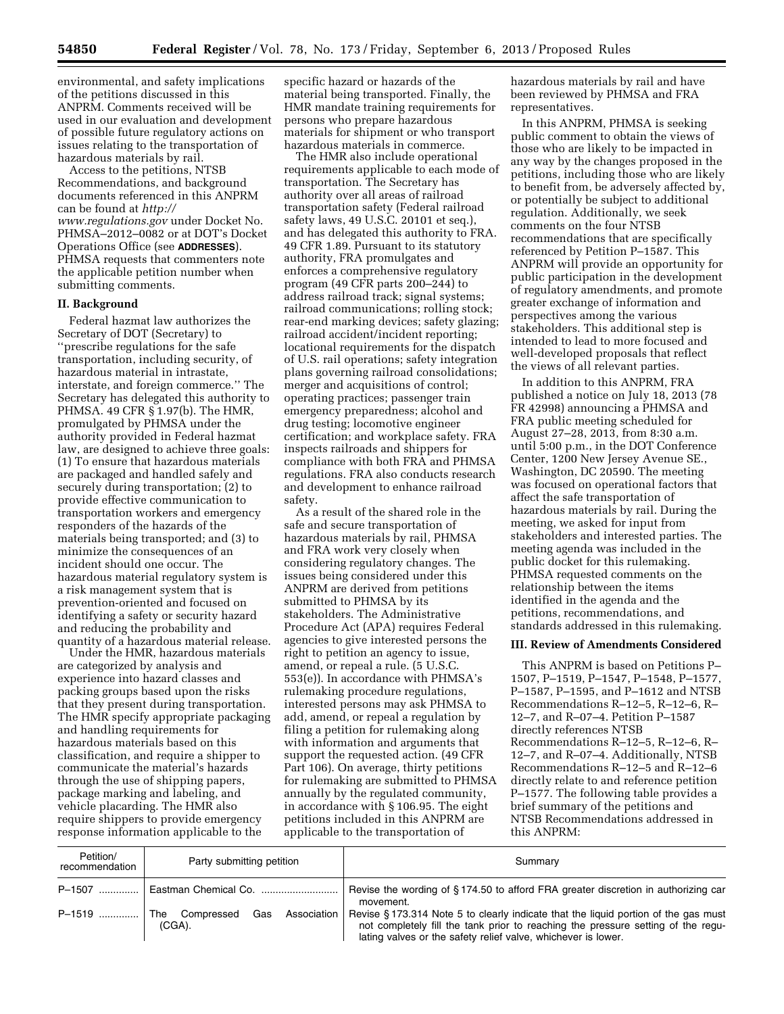environmental, and safety implications of the petitions discussed in this ANPRM. Comments received will be used in our evaluation and development of possible future regulatory actions on issues relating to the transportation of hazardous materials by rail.

Access to the petitions, NTSB Recommendations, and background documents referenced in this ANPRM can be found at *[http://](http://www.regulations.gov) [www.regulations.gov](http://www.regulations.gov)* under Docket No. PHMSA–2012–0082 or at DOT's Docket Operations Office (see **ADDRESSES**). PHMSA requests that commenters note the applicable petition number when submitting comments.

# **II. Background**

Federal hazmat law authorizes the Secretary of DOT (Secretary) to ''prescribe regulations for the safe transportation, including security, of hazardous material in intrastate, interstate, and foreign commerce.'' The Secretary has delegated this authority to PHMSA. 49 CFR § 1.97(b). The HMR, promulgated by PHMSA under the authority provided in Federal hazmat law, are designed to achieve three goals: (1) To ensure that hazardous materials are packaged and handled safely and securely during transportation; (2) to provide effective communication to transportation workers and emergency responders of the hazards of the materials being transported; and (3) to minimize the consequences of an incident should one occur. The hazardous material regulatory system is a risk management system that is prevention-oriented and focused on identifying a safety or security hazard and reducing the probability and quantity of a hazardous material release.

Under the HMR, hazardous materials are categorized by analysis and experience into hazard classes and packing groups based upon the risks that they present during transportation. The HMR specify appropriate packaging and handling requirements for hazardous materials based on this classification, and require a shipper to communicate the material's hazards through the use of shipping papers, package marking and labeling, and vehicle placarding. The HMR also require shippers to provide emergency response information applicable to the

specific hazard or hazards of the material being transported. Finally, the HMR mandate training requirements for persons who prepare hazardous materials for shipment or who transport hazardous materials in commerce.

The HMR also include operational requirements applicable to each mode of transportation. The Secretary has authority over all areas of railroad transportation safety (Federal railroad safety laws, 49 U.S.C. 20101 et seq.), and has delegated this authority to FRA. 49 CFR 1.89. Pursuant to its statutory authority, FRA promulgates and enforces a comprehensive regulatory program (49 CFR parts 200–244) to address railroad track; signal systems; railroad communications; rolling stock; rear-end marking devices; safety glazing; railroad accident/incident reporting; locational requirements for the dispatch of U.S. rail operations; safety integration plans governing railroad consolidations; merger and acquisitions of control; operating practices; passenger train emergency preparedness; alcohol and drug testing; locomotive engineer certification; and workplace safety. FRA inspects railroads and shippers for compliance with both FRA and PHMSA regulations. FRA also conducts research and development to enhance railroad safety.

As a result of the shared role in the safe and secure transportation of hazardous materials by rail, PHMSA and FRA work very closely when considering regulatory changes. The issues being considered under this ANPRM are derived from petitions submitted to PHMSA by its stakeholders. The Administrative Procedure Act (APA) requires Federal agencies to give interested persons the right to petition an agency to issue, amend, or repeal a rule. (5 U.S.C. 553(e)). In accordance with PHMSA's rulemaking procedure regulations, interested persons may ask PHMSA to add, amend, or repeal a regulation by filing a petition for rulemaking along with information and arguments that support the requested action. (49 CFR Part 106). On average, thirty petitions for rulemaking are submitted to PHMSA annually by the regulated community, in accordance with § 106.95. The eight petitions included in this ANPRM are applicable to the transportation of

hazardous materials by rail and have been reviewed by PHMSA and FRA representatives.

In this ANPRM, PHMSA is seeking public comment to obtain the views of those who are likely to be impacted in any way by the changes proposed in the petitions, including those who are likely to benefit from, be adversely affected by, or potentially be subject to additional regulation. Additionally, we seek comments on the four NTSB recommendations that are specifically referenced by Petition P–1587. This ANPRM will provide an opportunity for public participation in the development of regulatory amendments, and promote greater exchange of information and perspectives among the various stakeholders. This additional step is intended to lead to more focused and well-developed proposals that reflect the views of all relevant parties.

In addition to this ANPRM, FRA published a notice on July 18, 2013 (78 FR 42998) announcing a PHMSA and FRA public meeting scheduled for August 27–28, 2013, from 8:30 a.m. until 5:00 p.m., in the DOT Conference Center, 1200 New Jersey Avenue SE., Washington, DC 20590. The meeting was focused on operational factors that affect the safe transportation of hazardous materials by rail. During the meeting, we asked for input from stakeholders and interested parties. The meeting agenda was included in the public docket for this rulemaking. PHMSA requested comments on the relationship between the items identified in the agenda and the petitions, recommendations, and standards addressed in this rulemaking.

#### **III. Review of Amendments Considered**

This ANPRM is based on Petitions P– 1507, P–1519, P–1547, P–1548, P–1577, P–1587, P–1595, and P–1612 and NTSB Recommendations R–12–5, R–12–6, R– 12–7, and R–07–4. Petition P–1587 directly references NTSB Recommendations R–12–5, R–12–6, R– 12–7, and R–07–4. Additionally, NTSB Recommendations R–12–5 and R–12–6 directly relate to and reference petition P–1577. The following table provides a brief summary of the petitions and NTSB Recommendations addressed in this ANPRM:

| Petition/<br>recommendation | Party submitting petition                         | Summary                                                                                                                                                                                                                                  |
|-----------------------------|---------------------------------------------------|------------------------------------------------------------------------------------------------------------------------------------------------------------------------------------------------------------------------------------------|
|                             |                                                   | Revise the wording of §174.50 to afford FRA greater discretion in authorizing car<br>movement.                                                                                                                                           |
| $P-1519$                    | The Compressed<br>Gas<br>Association<br>$(CGA)$ . | Revise § 173.314 Note 5 to clearly indicate that the liquid portion of the gas must<br>not completely fill the tank prior to reaching the pressure setting of the regu-<br>lating valves or the safety relief valve, whichever is lower. |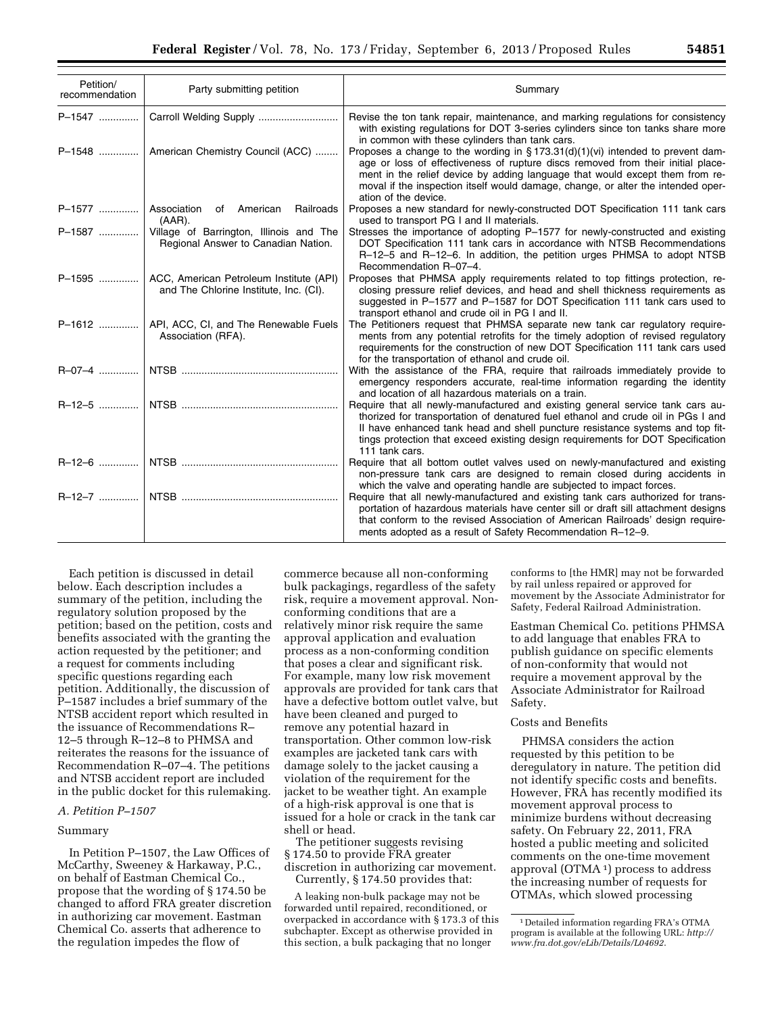| Petition/<br>recommendation | Party submitting petition                                                                   | Summary                                                                                                                                                                                                                                                                                                                                                       |
|-----------------------------|---------------------------------------------------------------------------------------------|---------------------------------------------------------------------------------------------------------------------------------------------------------------------------------------------------------------------------------------------------------------------------------------------------------------------------------------------------------------|
|                             | P-1547    Carroll Welding Supply                                                            | Revise the ton tank repair, maintenance, and marking regulations for consistency<br>with existing regulations for DOT 3-series cylinders since ton tanks share more<br>in common with these cylinders than tank cars.                                                                                                                                         |
|                             | P-1548    American Chemistry Council (ACC)                                                  | Proposes a change to the wording in §173.31(d)(1)(vi) intended to prevent dam-<br>age or loss of effectiveness of rupture discs removed from their initial place-<br>ment in the relief device by adding language that would except them from re-<br>moval if the inspection itself would damage, change, or alter the intended oper-<br>ation of the device. |
| P-1577    Association       | of American Railroads<br>$(AAR)$ .                                                          | Proposes a new standard for newly-constructed DOT Specification 111 tank cars<br>used to transport PG I and II materials.                                                                                                                                                                                                                                     |
| P-1587                      | Village of Barrington, Illinois and The<br>Regional Answer to Canadian Nation.              | Stresses the importance of adopting P-1577 for newly-constructed and existing<br>DOT Specification 111 tank cars in accordance with NTSB Recommendations<br>R-12-5 and R-12-6. In addition, the petition urges PHMSA to adopt NTSB<br>Recommendation R-07-4.                                                                                                  |
|                             | P-1595    ACC, American Petroleum Institute (API)<br>and The Chlorine Institute, Inc. (CI). | Proposes that PHMSA apply requirements related to top fittings protection, re-<br>closing pressure relief devices, and head and shell thickness requirements as<br>suggested in P-1577 and P-1587 for DOT Specification 111 tank cars used to<br>transport ethanol and crude oil in PG I and II.                                                              |
|                             | P-1612    API, ACC, CI, and The Renewable Fuels<br>Association (RFA).                       | The Petitioners request that PHMSA separate new tank car regulatory require-<br>ments from any potential retrofits for the timely adoption of revised regulatory<br>requirements for the construction of new DOT Specification 111 tank cars used<br>for the transportation of ethanol and crude oil.                                                         |
|                             |                                                                                             | With the assistance of the FRA, require that railroads immediately provide to<br>emergency responders accurate, real-time information regarding the identity<br>and location of all hazardous materials on a train.                                                                                                                                           |
|                             |                                                                                             | Require that all newly-manufactured and existing general service tank cars au-<br>thorized for transportation of denatured fuel ethanol and crude oil in PGs I and<br>II have enhanced tank head and shell puncture resistance systems and top fit-<br>tings protection that exceed existing design requirements for DOT Specification<br>111 tank cars.      |
|                             |                                                                                             | Require that all bottom outlet valves used on newly-manufactured and existing<br>non-pressure tank cars are designed to remain closed during accidents in<br>which the valve and operating handle are subjected to impact forces.                                                                                                                             |
|                             |                                                                                             | Require that all newly-manufactured and existing tank cars authorized for trans-<br>portation of hazardous materials have center sill or draft sill attachment designs<br>that conform to the revised Association of American Railroads' design require-<br>ments adopted as a result of Safety Recommendation R-12-9.                                        |

Each petition is discussed in detail below. Each description includes a summary of the petition, including the regulatory solution proposed by the petition; based on the petition, costs and benefits associated with the granting the action requested by the petitioner; and a request for comments including specific questions regarding each petition. Additionally, the discussion of P–1587 includes a brief summary of the NTSB accident report which resulted in the issuance of Recommendations R– 12–5 through R–12–8 to PHMSA and reiterates the reasons for the issuance of Recommendation R–07–4. The petitions and NTSB accident report are included in the public docket for this rulemaking.

#### *A. Petition P–1507*

# Summary

In Petition P–1507, the Law Offices of McCarthy, Sweeney & Harkaway, P.C., on behalf of Eastman Chemical Co., propose that the wording of § 174.50 be changed to afford FRA greater discretion in authorizing car movement. Eastman Chemical Co. asserts that adherence to the regulation impedes the flow of

commerce because all non-conforming bulk packagings, regardless of the safety risk, require a movement approval. Nonconforming conditions that are a relatively minor risk require the same approval application and evaluation process as a non-conforming condition that poses a clear and significant risk. For example, many low risk movement approvals are provided for tank cars that have a defective bottom outlet valve, but have been cleaned and purged to remove any potential hazard in transportation. Other common low-risk examples are jacketed tank cars with damage solely to the jacket causing a violation of the requirement for the jacket to be weather tight. An example of a high-risk approval is one that is issued for a hole or crack in the tank car shell or head.

The petitioner suggests revising § 174.50 to provide FRA greater discretion in authorizing car movement. Currently, § 174.50 provides that:

A leaking non-bulk package may not be forwarded until repaired, reconditioned, or overpacked in accordance with § 173.3 of this subchapter. Except as otherwise provided in this section, a bulk packaging that no longer

conforms to [the HMR] may not be forwarded by rail unless repaired or approved for movement by the Associate Administrator for Safety, Federal Railroad Administration.

Eastman Chemical Co. petitions PHMSA to add language that enables FRA to publish guidance on specific elements of non-conformity that would not require a movement approval by the Associate Administrator for Railroad Safety.

#### Costs and Benefits

PHMSA considers the action requested by this petition to be deregulatory in nature. The petition did not identify specific costs and benefits. However, FRA has recently modified its movement approval process to minimize burdens without decreasing safety. On February 22, 2011, FRA hosted a public meeting and solicited comments on the one-time movement approval (OTMA 1) process to address the increasing number of requests for OTMAs, which slowed processing

<sup>1</sup> Detailed information regarding FRA's OTMA program is available at the following URL: *[http://](http://www.fra.dot.gov/eLib/Details/L04692) [www.fra.dot.gov/eLib/Details/L04692](http://www.fra.dot.gov/eLib/Details/L04692)*.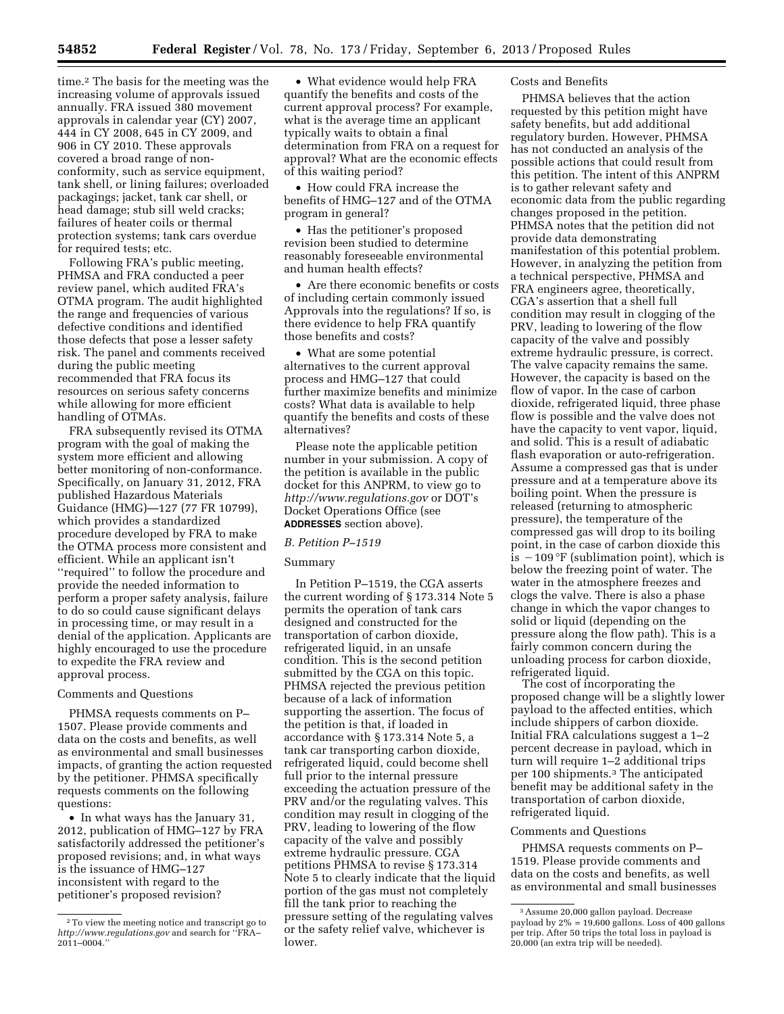time.2 The basis for the meeting was the increasing volume of approvals issued annually. FRA issued 380 movement approvals in calendar year (CY) 2007, 444 in CY 2008, 645 in CY 2009, and 906 in CY 2010. These approvals covered a broad range of nonconformity, such as service equipment, tank shell, or lining failures; overloaded packagings; jacket, tank car shell, or head damage; stub sill weld cracks; failures of heater coils or thermal protection systems; tank cars overdue for required tests; etc.

Following FRA's public meeting, PHMSA and FRA conducted a peer review panel, which audited FRA's OTMA program. The audit highlighted the range and frequencies of various defective conditions and identified those defects that pose a lesser safety risk. The panel and comments received during the public meeting recommended that FRA focus its resources on serious safety concerns while allowing for more efficient handling of OTMAs.

FRA subsequently revised its OTMA program with the goal of making the system more efficient and allowing better monitoring of non-conformance. Specifically, on January 31, 2012, FRA published Hazardous Materials Guidance (HMG)—127 (77 FR 10799), which provides a standardized procedure developed by FRA to make the OTMA process more consistent and efficient. While an applicant isn't ''required'' to follow the procedure and provide the needed information to perform a proper safety analysis, failure to do so could cause significant delays in processing time, or may result in a denial of the application. Applicants are highly encouraged to use the procedure to expedite the FRA review and approval process.

#### Comments and Questions

PHMSA requests comments on P– 1507. Please provide comments and data on the costs and benefits, as well as environmental and small businesses impacts, of granting the action requested by the petitioner. PHMSA specifically requests comments on the following questions:

• In what ways has the January 31, 2012, publication of HMG–127 by FRA satisfactorily addressed the petitioner's proposed revisions; and, in what ways is the issuance of HMG–127 inconsistent with regard to the petitioner's proposed revision?

• What evidence would help FRA quantify the benefits and costs of the current approval process? For example, what is the average time an applicant typically waits to obtain a final determination from FRA on a request for approval? What are the economic effects of this waiting period?

• How could FRA increase the benefits of HMG–127 and of the OTMA program in general?

• Has the petitioner's proposed revision been studied to determine reasonably foreseeable environmental and human health effects?

• Are there economic benefits or costs of including certain commonly issued Approvals into the regulations? If so, is there evidence to help FRA quantify those benefits and costs?

• What are some potential alternatives to the current approval process and HMG–127 that could further maximize benefits and minimize costs? What data is available to help quantify the benefits and costs of these alternatives?

Please note the applicable petition number in your submission. A copy of the petition is available in the public docket for this ANPRM, to view go to *<http://www.regulations.gov>* or DOT's Docket Operations Office (see **ADDRESSES** section above).

# *B. Petition P–1519*

# Summary

In Petition P–1519, the CGA asserts the current wording of § 173.314 Note 5 permits the operation of tank cars designed and constructed for the transportation of carbon dioxide, refrigerated liquid, in an unsafe condition. This is the second petition submitted by the CGA on this topic. PHMSA rejected the previous petition because of a lack of information supporting the assertion. The focus of the petition is that, if loaded in accordance with § 173.314 Note 5, a tank car transporting carbon dioxide, refrigerated liquid, could become shell full prior to the internal pressure exceeding the actuation pressure of the PRV and/or the regulating valves. This condition may result in clogging of the PRV, leading to lowering of the flow capacity of the valve and possibly extreme hydraulic pressure. CGA petitions PHMSA to revise § 173.314 Note 5 to clearly indicate that the liquid portion of the gas must not completely fill the tank prior to reaching the pressure setting of the regulating valves or the safety relief valve, whichever is lower.

# Costs and Benefits

PHMSA believes that the action requested by this petition might have safety benefits, but add additional regulatory burden. However, PHMSA has not conducted an analysis of the possible actions that could result from this petition. The intent of this ANPRM is to gather relevant safety and economic data from the public regarding changes proposed in the petition. PHMSA notes that the petition did not provide data demonstrating manifestation of this potential problem. However, in analyzing the petition from a technical perspective, PHMSA and FRA engineers agree, theoretically, CGA's assertion that a shell full condition may result in clogging of the PRV, leading to lowering of the flow capacity of the valve and possibly extreme hydraulic pressure, is correct. The valve capacity remains the same. However, the capacity is based on the flow of vapor. In the case of carbon dioxide, refrigerated liquid, three phase flow is possible and the valve does not have the capacity to vent vapor, liquid, and solid. This is a result of adiabatic flash evaporation or auto-refrigeration. Assume a compressed gas that is under pressure and at a temperature above its boiling point. When the pressure is released (returning to atmospheric pressure), the temperature of the compressed gas will drop to its boiling point, in the case of carbon dioxide this is  $-109^{\circ}$ F (sublimation point), which is below the freezing point of water. The water in the atmosphere freezes and clogs the valve. There is also a phase change in which the vapor changes to solid or liquid (depending on the pressure along the flow path). This is a fairly common concern during the unloading process for carbon dioxide, refrigerated liquid.

The cost of incorporating the proposed change will be a slightly lower payload to the affected entities, which include shippers of carbon dioxide. Initial FRA calculations suggest a 1–2 percent decrease in payload, which in turn will require 1–2 additional trips per 100 shipments.3 The anticipated benefit may be additional safety in the transportation of carbon dioxide, refrigerated liquid.

#### Comments and Questions

PHMSA requests comments on P– 1519. Please provide comments and data on the costs and benefits, as well as environmental and small businesses

<sup>2</sup>To view the meeting notice and transcript go to *<http://www.regulations.gov>* and search for ''FRA– 2011–0004.''

<sup>3</sup>Assume 20,000 gallon payload. Decrease payload by  $2\% = 19,600$  gallons. Loss of 400 gallons per trip. After 50 trips the total loss in payload is  $20,000$  (an extra trip will be needed).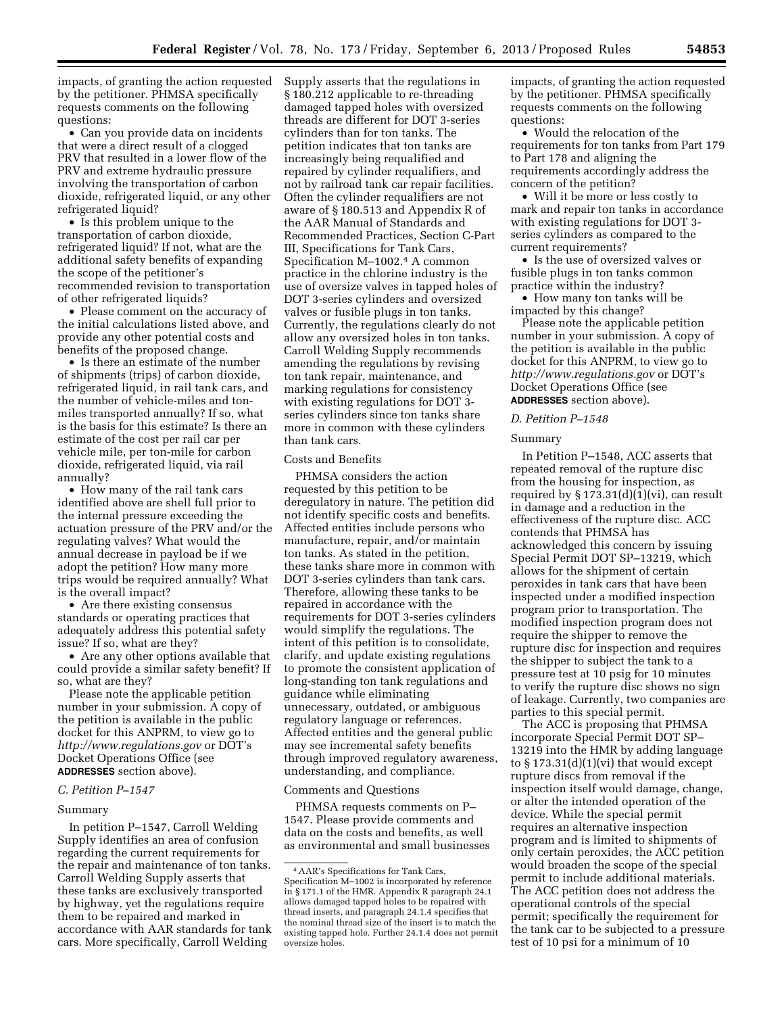impacts, of granting the action requested by the petitioner. PHMSA specifically requests comments on the following questions:

• Can you provide data on incidents that were a direct result of a clogged PRV that resulted in a lower flow of the PRV and extreme hydraulic pressure involving the transportation of carbon dioxide, refrigerated liquid, or any other refrigerated liquid?

• Is this problem unique to the transportation of carbon dioxide, refrigerated liquid? If not, what are the additional safety benefits of expanding the scope of the petitioner's recommended revision to transportation of other refrigerated liquids?

• Please comment on the accuracy of the initial calculations listed above, and provide any other potential costs and benefits of the proposed change.

• Is there an estimate of the number of shipments (trips) of carbon dioxide, refrigerated liquid, in rail tank cars, and the number of vehicle-miles and tonmiles transported annually? If so, what is the basis for this estimate? Is there an estimate of the cost per rail car per vehicle mile, per ton-mile for carbon dioxide, refrigerated liquid, via rail annually?

• How many of the rail tank cars identified above are shell full prior to the internal pressure exceeding the actuation pressure of the PRV and/or the regulating valves? What would the annual decrease in payload be if we adopt the petition? How many more trips would be required annually? What is the overall impact?

• Are there existing consensus standards or operating practices that adequately address this potential safety issue? If so, what are they?

• Are any other options available that could provide a similar safety benefit? If so, what are they?

Please note the applicable petition number in your submission. A copy of the petition is available in the public docket for this ANPRM, to view go to *<http://www.regulations.gov>* or DOT's Docket Operations Office (see **ADDRESSES** section above).

#### *C. Petition P–1547*

#### Summary

In petition P–1547, Carroll Welding Supply identifies an area of confusion regarding the current requirements for the repair and maintenance of ton tanks. Carroll Welding Supply asserts that these tanks are exclusively transported by highway, yet the regulations require them to be repaired and marked in accordance with AAR standards for tank cars. More specifically, Carroll Welding

Supply asserts that the regulations in § 180.212 applicable to re-threading damaged tapped holes with oversized threads are different for DOT 3-series cylinders than for ton tanks. The petition indicates that ton tanks are increasingly being requalified and repaired by cylinder requalifiers, and not by railroad tank car repair facilities. Often the cylinder requalifiers are not aware of § 180.513 and Appendix R of the AAR Manual of Standards and Recommended Practices, Section C-Part III, Specifications for Tank Cars, Specification M–1002.4 A common practice in the chlorine industry is the use of oversize valves in tapped holes of DOT 3-series cylinders and oversized valves or fusible plugs in ton tanks. Currently, the regulations clearly do not allow any oversized holes in ton tanks. Carroll Welding Supply recommends amending the regulations by revising ton tank repair, maintenance, and marking regulations for consistency with existing regulations for DOT 3 series cylinders since ton tanks share more in common with these cylinders than tank cars.

#### Costs and Benefits

PHMSA considers the action requested by this petition to be deregulatory in nature. The petition did not identify specific costs and benefits. Affected entities include persons who manufacture, repair, and/or maintain ton tanks. As stated in the petition, these tanks share more in common with DOT 3-series cylinders than tank cars. Therefore, allowing these tanks to be repaired in accordance with the requirements for DOT 3-series cylinders would simplify the regulations. The intent of this petition is to consolidate, clarify, and update existing regulations to promote the consistent application of long-standing ton tank regulations and guidance while eliminating unnecessary, outdated, or ambiguous regulatory language or references. Affected entities and the general public may see incremental safety benefits through improved regulatory awareness, understanding, and compliance.

#### Comments and Questions

PHMSA requests comments on P– 1547. Please provide comments and data on the costs and benefits, as well as environmental and small businesses impacts, of granting the action requested by the petitioner. PHMSA specifically requests comments on the following questions:

• Would the relocation of the requirements for ton tanks from Part 179 to Part 178 and aligning the requirements accordingly address the concern of the petition?

• Will it be more or less costly to mark and repair ton tanks in accordance with existing regulations for DOT 3 series cylinders as compared to the current requirements?

• Is the use of oversized valves or fusible plugs in ton tanks common practice within the industry?

• How many ton tanks will be impacted by this change?

Please note the applicable petition number in your submission. A copy of the petition is available in the public docket for this ANPRM, to view go to *<http://www.regulations.gov>* or DOT's Docket Operations Office (see **ADDRESSES** section above).

### *D. Petition P–1548*

#### Summary

In Petition P–1548, ACC asserts that repeated removal of the rupture disc from the housing for inspection, as required by  $\S 173.31(d)(1)(vi)$ , can result in damage and a reduction in the effectiveness of the rupture disc. ACC contends that PHMSA has acknowledged this concern by issuing Special Permit DOT SP–13219, which allows for the shipment of certain peroxides in tank cars that have been inspected under a modified inspection program prior to transportation. The modified inspection program does not require the shipper to remove the rupture disc for inspection and requires the shipper to subject the tank to a pressure test at 10 psig for 10 minutes to verify the rupture disc shows no sign of leakage. Currently, two companies are parties to this special permit.

The ACC is proposing that PHMSA incorporate Special Permit DOT SP– 13219 into the HMR by adding language to § 173.31(d)(1)(vi) that would except rupture discs from removal if the inspection itself would damage, change, or alter the intended operation of the device. While the special permit requires an alternative inspection program and is limited to shipments of only certain peroxides, the ACC petition would broaden the scope of the special permit to include additional materials. The ACC petition does not address the operational controls of the special permit; specifically the requirement for the tank car to be subjected to a pressure test of 10 psi for a minimum of 10

<sup>4</sup>AAR's Specifications for Tank Cars, Specification M–1002 is incorporated by reference in § 171.1 of the HMR. Appendix R paragraph 24.1 allows damaged tapped holes to be repaired with thread inserts, and paragraph 24.1.4 specifies that the nominal thread size of the insert is to match the existing tapped hole. Further 24.1.4 does not permit oversize holes.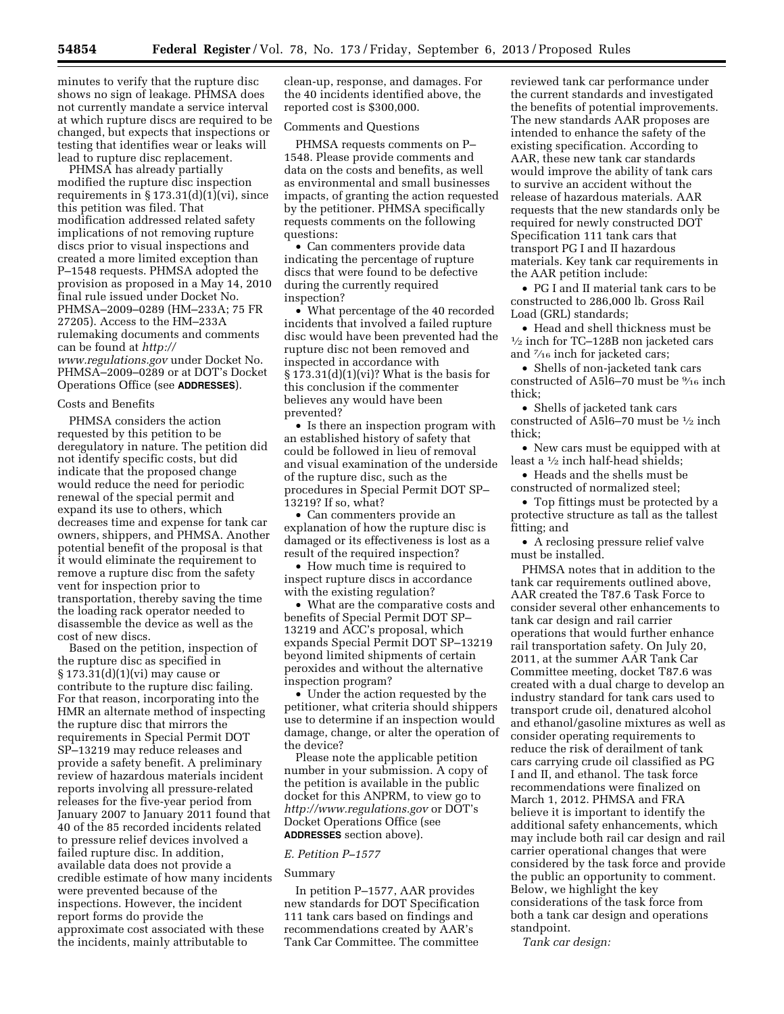minutes to verify that the rupture disc shows no sign of leakage. PHMSA does not currently mandate a service interval at which rupture discs are required to be changed, but expects that inspections or testing that identifies wear or leaks will lead to rupture disc replacement.

PHMSA has already partially modified the rupture disc inspection requirements in  $\S 173.31(d)(1)(vi)$ , since this petition was filed. That modification addressed related safety implications of not removing rupture discs prior to visual inspections and created a more limited exception than P–1548 requests. PHMSA adopted the provision as proposed in a May 14, 2010 final rule issued under Docket No. PHMSA–2009–0289 (HM–233A; 75 FR 27205). Access to the HM–233A rulemaking documents and comments can be found at *[http://](http://www.regulations.gov) [www.regulations.gov](http://www.regulations.gov)* under Docket No. PHMSA–2009–0289 or at DOT's Docket Operations Office (see **ADDRESSES**).

#### Costs and Benefits

PHMSA considers the action requested by this petition to be deregulatory in nature. The petition did not identify specific costs, but did indicate that the proposed change would reduce the need for periodic renewal of the special permit and expand its use to others, which decreases time and expense for tank car owners, shippers, and PHMSA. Another potential benefit of the proposal is that it would eliminate the requirement to remove a rupture disc from the safety vent for inspection prior to transportation, thereby saving the time the loading rack operator needed to disassemble the device as well as the cost of new discs.

Based on the petition, inspection of the rupture disc as specified in § 173.31(d)(1)(vi) may cause or contribute to the rupture disc failing. For that reason, incorporating into the HMR an alternate method of inspecting the rupture disc that mirrors the requirements in Special Permit DOT SP–13219 may reduce releases and provide a safety benefit. A preliminary review of hazardous materials incident reports involving all pressure-related releases for the five-year period from January 2007 to January 2011 found that 40 of the 85 recorded incidents related to pressure relief devices involved a failed rupture disc. In addition, available data does not provide a credible estimate of how many incidents were prevented because of the inspections. However, the incident report forms do provide the approximate cost associated with these the incidents, mainly attributable to

clean-up, response, and damages. For the 40 incidents identified above, the reported cost is \$300,000.

#### Comments and Questions

PHMSA requests comments on P– 1548. Please provide comments and data on the costs and benefits, as well as environmental and small businesses impacts, of granting the action requested by the petitioner. PHMSA specifically requests comments on the following questions:

• Can commenters provide data indicating the percentage of rupture discs that were found to be defective during the currently required inspection?

• What percentage of the 40 recorded incidents that involved a failed rupture disc would have been prevented had the rupture disc not been removed and inspected in accordance with  $§ 173.31(d)(1)(vi)?$  What is the basis for this conclusion if the commenter believes any would have been prevented?

• Is there an inspection program with an established history of safety that could be followed in lieu of removal and visual examination of the underside of the rupture disc, such as the procedures in Special Permit DOT SP– 13219? If so, what?

• Can commenters provide an explanation of how the rupture disc is damaged or its effectiveness is lost as a result of the required inspection?

• How much time is required to inspect rupture discs in accordance with the existing regulation?

• What are the comparative costs and benefits of Special Permit DOT SP– 13219 and ACC's proposal, which expands Special Permit DOT SP–13219 beyond limited shipments of certain peroxides and without the alternative inspection program?

• Under the action requested by the petitioner, what criteria should shippers use to determine if an inspection would damage, change, or alter the operation of the device?

Please note the applicable petition number in your submission. A copy of the petition is available in the public docket for this ANPRM, to view go to *<http://www.regulations.gov>* or DOT's Docket Operations Office (see **ADDRESSES** section above).

#### *E. Petition P–1577*

#### Summary

In petition P–1577, AAR provides new standards for DOT Specification 111 tank cars based on findings and recommendations created by AAR's Tank Car Committee. The committee

reviewed tank car performance under the current standards and investigated the benefits of potential improvements. The new standards AAR proposes are intended to enhance the safety of the existing specification. According to AAR, these new tank car standards would improve the ability of tank cars to survive an accident without the release of hazardous materials. AAR requests that the new standards only be required for newly constructed DOT Specification 111 tank cars that transport PG I and II hazardous materials. Key tank car requirements in the AAR petition include:

• PG I and II material tank cars to be constructed to 286,000 lb. Gross Rail Load (GRL) standards;

• Head and shell thickness must be  $\frac{1}{2}$  inch for TC–128B non jacketed cars and 7⁄16 inch for jacketed cars;

• Shells of non-jacketed tank cars constructed of A5l6–70 must be 9⁄16 inch thick;

• Shells of jacketed tank cars constructed of A5l6–70 must be 1⁄2 inch thick;

• New cars must be equipped with at least a 1⁄2 inch half-head shields;

• Heads and the shells must be constructed of normalized steel;

• Top fittings must be protected by a protective structure as tall as the tallest fitting; and

• A reclosing pressure relief valve must be installed.

PHMSA notes that in addition to the tank car requirements outlined above, AAR created the T87.6 Task Force to consider several other enhancements to tank car design and rail carrier operations that would further enhance rail transportation safety. On July 20, 2011, at the summer AAR Tank Car Committee meeting, docket T87.6 was created with a dual charge to develop an industry standard for tank cars used to transport crude oil, denatured alcohol and ethanol/gasoline mixtures as well as consider operating requirements to reduce the risk of derailment of tank cars carrying crude oil classified as PG I and II, and ethanol. The task force recommendations were finalized on March 1, 2012. PHMSA and FRA believe it is important to identify the additional safety enhancements, which may include both rail car design and rail carrier operational changes that were considered by the task force and provide the public an opportunity to comment. Below, we highlight the key considerations of the task force from both a tank car design and operations standpoint.

*Tank car design:*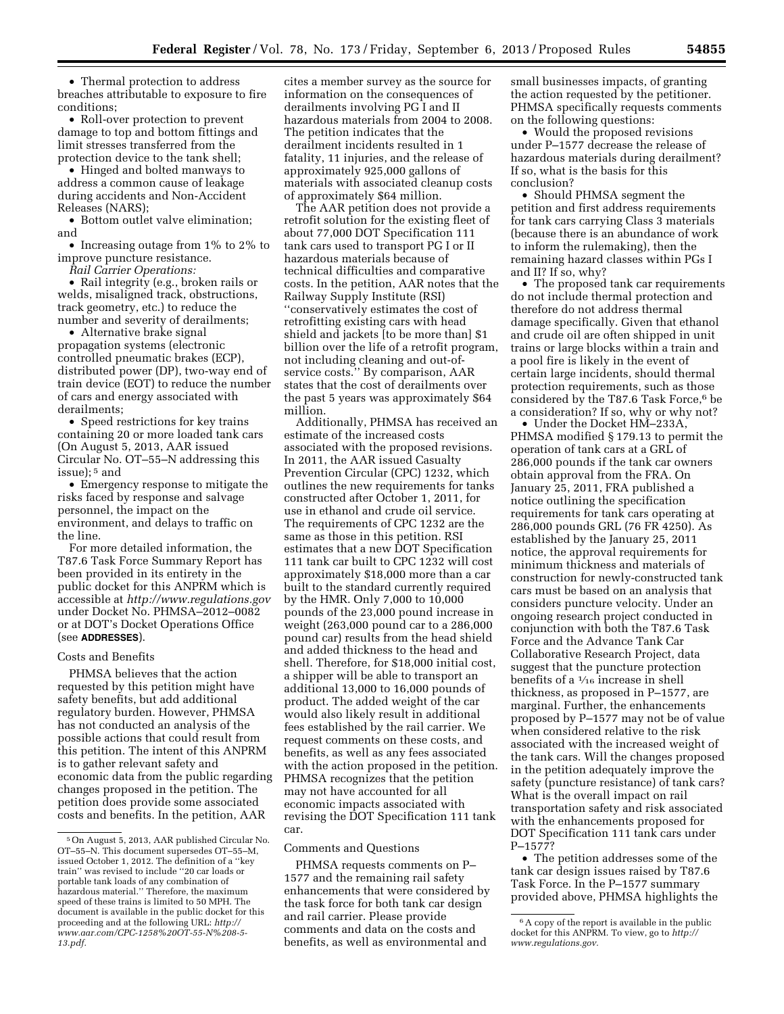• Thermal protection to address breaches attributable to exposure to fire conditions;

• Roll-over protection to prevent damage to top and bottom fittings and limit stresses transferred from the protection device to the tank shell;

• Hinged and bolted manways to address a common cause of leakage during accidents and Non-Accident Releases (NARS);

• Bottom outlet valve elimination; and

• Increasing outage from 1% to 2% to improve puncture resistance.

*Rail Carrier Operations:* 

• Rail integrity (e.g., broken rails or welds, misaligned track, obstructions, track geometry, etc.) to reduce the number and severity of derailments;

• Alternative brake signal propagation systems (electronic controlled pneumatic brakes (ECP), distributed power (DP), two-way end of train device (EOT) to reduce the number of cars and energy associated with derailments;

• Speed restrictions for key trains containing 20 or more loaded tank cars (On August 5, 2013, AAR issued Circular No. OT–55–N addressing this issue); 5 and

• Emergency response to mitigate the risks faced by response and salvage personnel, the impact on the environment, and delays to traffic on the line.

For more detailed information, the T87.6 Task Force Summary Report has been provided in its entirety in the public docket for this ANPRM which is accessible at *<http://www.regulations.gov>*  under Docket No. PHMSA–2012–0082 or at DOT's Docket Operations Office (see **ADDRESSES**).

#### Costs and Benefits

PHMSA believes that the action requested by this petition might have safety benefits, but add additional regulatory burden. However, PHMSA has not conducted an analysis of the possible actions that could result from this petition. The intent of this ANPRM is to gather relevant safety and economic data from the public regarding changes proposed in the petition. The petition does provide some associated costs and benefits. In the petition, AAR

cites a member survey as the source for information on the consequences of derailments involving PG I and II hazardous materials from 2004 to 2008. The petition indicates that the derailment incidents resulted in 1 fatality, 11 injuries, and the release of approximately 925,000 gallons of materials with associated cleanup costs of approximately \$64 million.

The AAR petition does not provide a retrofit solution for the existing fleet of about 77,000 DOT Specification 111 tank cars used to transport PG I or II hazardous materials because of technical difficulties and comparative costs. In the petition, AAR notes that the Railway Supply Institute (RSI) ''conservatively estimates the cost of retrofitting existing cars with head shield and jackets [to be more than] \$1 billion over the life of a retrofit program, not including cleaning and out-ofservice costs.'' By comparison, AAR states that the cost of derailments over the past 5 years was approximately \$64 million.

Additionally, PHMSA has received an estimate of the increased costs associated with the proposed revisions. In 2011, the AAR issued Casualty Prevention Circular (CPC) 1232, which outlines the new requirements for tanks constructed after October 1, 2011, for use in ethanol and crude oil service. The requirements of CPC 1232 are the same as those in this petition. RSI estimates that a new DOT Specification 111 tank car built to CPC 1232 will cost approximately \$18,000 more than a car built to the standard currently required by the HMR. Only 7,000 to 10,000 pounds of the 23,000 pound increase in weight (263,000 pound car to a 286,000 pound car) results from the head shield and added thickness to the head and shell. Therefore, for \$18,000 initial cost, a shipper will be able to transport an additional 13,000 to 16,000 pounds of product. The added weight of the car would also likely result in additional fees established by the rail carrier. We request comments on these costs, and benefits, as well as any fees associated with the action proposed in the petition. PHMSA recognizes that the petition may not have accounted for all economic impacts associated with revising the DOT Specification 111 tank car.

Comments and Questions

PHMSA requests comments on P– 1577 and the remaining rail safety enhancements that were considered by the task force for both tank car design and rail carrier. Please provide comments and data on the costs and benefits, as well as environmental and

small businesses impacts, of granting the action requested by the petitioner. PHMSA specifically requests comments on the following questions:

• Would the proposed revisions under P–1577 decrease the release of hazardous materials during derailment? If so, what is the basis for this conclusion?

• Should PHMSA segment the petition and first address requirements for tank cars carrying Class 3 materials (because there is an abundance of work to inform the rulemaking), then the remaining hazard classes within PGs I and II? If so, why?

• The proposed tank car requirements do not include thermal protection and therefore do not address thermal damage specifically. Given that ethanol and crude oil are often shipped in unit trains or large blocks within a train and a pool fire is likely in the event of certain large incidents, should thermal protection requirements, such as those considered by the T87.6 Task Force,<sup>6</sup> be a consideration? If so, why or why not?

• Under the Docket HM–233A, PHMSA modified § 179.13 to permit the operation of tank cars at a GRL of 286,000 pounds if the tank car owners obtain approval from the FRA. On January 25, 2011, FRA published a notice outlining the specification requirements for tank cars operating at 286,000 pounds GRL (76 FR 4250). As established by the January 25, 2011 notice, the approval requirements for minimum thickness and materials of construction for newly-constructed tank cars must be based on an analysis that considers puncture velocity. Under an ongoing research project conducted in conjunction with both the T87.6 Task Force and the Advance Tank Car Collaborative Research Project, data suggest that the puncture protection benefits of a 1⁄16 increase in shell thickness, as proposed in P–1577, are marginal. Further, the enhancements proposed by P–1577 may not be of value when considered relative to the risk associated with the increased weight of the tank cars. Will the changes proposed in the petition adequately improve the safety (puncture resistance) of tank cars? What is the overall impact on rail transportation safety and risk associated with the enhancements proposed for DOT Specification 111 tank cars under P–1577?

• The petition addresses some of the tank car design issues raised by T87.6 Task Force. In the P–1577 summary provided above, PHMSA highlights the

<sup>5</sup>On August 5, 2013, AAR published Circular No. OT–55–N. This document supersedes OT–55–M, issued October 1, 2012. The definition of a ''key train'' was revised to include ''20 car loads or portable tank loads of any combination of hazardous material.'' Therefore, the maximum speed of these trains is limited to 50 MPH. The document is available in the public docket for this proceeding and at the following URL: *[http://](http://www.aar.com/CPC-1258%20OT-55-N%208-5-13.pdf) [www.aar.com/CPC-1258%20OT-55-N%208-5-](http://www.aar.com/CPC-1258%20OT-55-N%208-5-13.pdf) [13.pdf.](http://www.aar.com/CPC-1258%20OT-55-N%208-5-13.pdf)* 

<sup>6</sup>A copy of the report is available in the public docket for this ANPRM. To view, go to *[http://](http://www.regulations.gov) [www.regulations.gov.](http://www.regulations.gov)*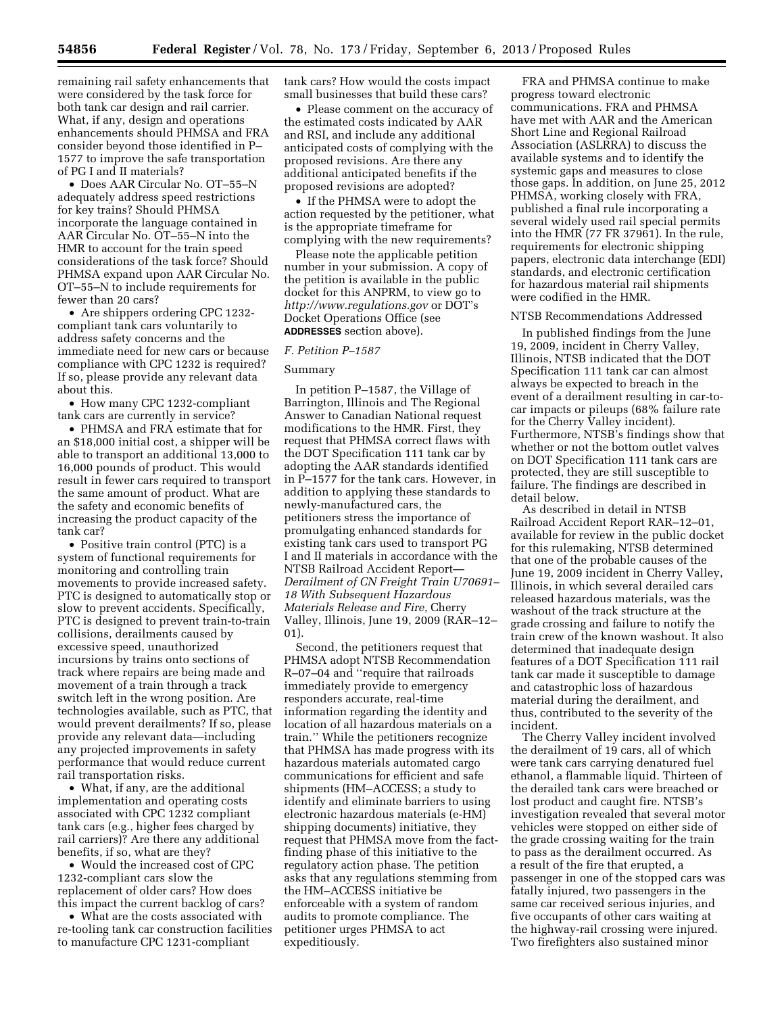remaining rail safety enhancements that were considered by the task force for both tank car design and rail carrier. What, if any, design and operations enhancements should PHMSA and FRA consider beyond those identified in P– 1577 to improve the safe transportation of PG I and II materials?

• Does AAR Circular No. OT–55–N adequately address speed restrictions for key trains? Should PHMSA incorporate the language contained in AAR Circular No. OT–55–N into the HMR to account for the train speed considerations of the task force? Should PHMSA expand upon AAR Circular No. OT–55–N to include requirements for fewer than 20 cars?

• Are shippers ordering CPC 1232compliant tank cars voluntarily to address safety concerns and the immediate need for new cars or because compliance with CPC 1232 is required? If so, please provide any relevant data about this.

• How many CPC 1232-compliant tank cars are currently in service?

• PHMSA and FRA estimate that for an \$18,000 initial cost, a shipper will be able to transport an additional 13,000 to 16,000 pounds of product. This would result in fewer cars required to transport the same amount of product. What are the safety and economic benefits of increasing the product capacity of the tank car?

• Positive train control (PTC) is a system of functional requirements for monitoring and controlling train movements to provide increased safety. PTC is designed to automatically stop or slow to prevent accidents. Specifically, PTC is designed to prevent train-to-train collisions, derailments caused by excessive speed, unauthorized incursions by trains onto sections of track where repairs are being made and movement of a train through a track switch left in the wrong position. Are technologies available, such as PTC, that would prevent derailments? If so, please provide any relevant data—including any projected improvements in safety performance that would reduce current rail transportation risks.

• What, if any, are the additional implementation and operating costs associated with CPC 1232 compliant tank cars (e.g., higher fees charged by rail carriers)? Are there any additional benefits, if so, what are they?

• Would the increased cost of CPC 1232-compliant cars slow the replacement of older cars? How does this impact the current backlog of cars?

• What are the costs associated with re-tooling tank car construction facilities to manufacture CPC 1231-compliant

tank cars? How would the costs impact small businesses that build these cars?

• Please comment on the accuracy of the estimated costs indicated by AAR and RSI, and include any additional anticipated costs of complying with the proposed revisions. Are there any additional anticipated benefits if the proposed revisions are adopted?

• If the PHMSA were to adopt the action requested by the petitioner, what is the appropriate timeframe for complying with the new requirements?

Please note the applicable petition number in your submission. A copy of the petition is available in the public docket for this ANPRM, to view go to *<http://www.regulations.gov>* or DOT's Docket Operations Office (see **ADDRESSES** section above).

#### *F. Petition P–1587*

#### Summary

In petition P–1587, the Village of Barrington, Illinois and The Regional Answer to Canadian National request modifications to the HMR. First, they request that PHMSA correct flaws with the DOT Specification 111 tank car by adopting the AAR standards identified in P–1577 for the tank cars. However, in addition to applying these standards to newly-manufactured cars, the petitioners stress the importance of promulgating enhanced standards for existing tank cars used to transport PG I and II materials in accordance with the NTSB Railroad Accident Report— *Derailment of CN Freight Train U70691– 18 With Subsequent Hazardous Materials Release and Fire,* Cherry Valley, Illinois, June 19, 2009 (RAR–12– 01).

Second, the petitioners request that PHMSA adopt NTSB Recommendation R–07–04 and ''require that railroads immediately provide to emergency responders accurate, real-time information regarding the identity and location of all hazardous materials on a train.'' While the petitioners recognize that PHMSA has made progress with its hazardous materials automated cargo communications for efficient and safe shipments (HM–ACCESS; a study to identify and eliminate barriers to using electronic hazardous materials (e-HM) shipping documents) initiative, they request that PHMSA move from the factfinding phase of this initiative to the regulatory action phase. The petition asks that any regulations stemming from the HM–ACCESS initiative be enforceable with a system of random audits to promote compliance. The petitioner urges PHMSA to act expeditiously.

FRA and PHMSA continue to make progress toward electronic communications. FRA and PHMSA have met with AAR and the American Short Line and Regional Railroad Association (ASLRRA) to discuss the available systems and to identify the systemic gaps and measures to close those gaps. In addition, on June 25, 2012 PHMSA, working closely with FRA, published a final rule incorporating a several widely used rail special permits into the HMR (77 FR 37961). In the rule, requirements for electronic shipping papers, electronic data interchange (EDI) standards, and electronic certification for hazardous material rail shipments were codified in the HMR.

#### NTSB Recommendations Addressed

In published findings from the June 19, 2009, incident in Cherry Valley, Illinois, NTSB indicated that the DOT Specification 111 tank car can almost always be expected to breach in the event of a derailment resulting in car-tocar impacts or pileups (68% failure rate for the Cherry Valley incident). Furthermore, NTSB's findings show that whether or not the bottom outlet valves on DOT Specification 111 tank cars are protected, they are still susceptible to failure. The findings are described in detail below.

As described in detail in NTSB Railroad Accident Report RAR–12–01, available for review in the public docket for this rulemaking, NTSB determined that one of the probable causes of the June 19, 2009 incident in Cherry Valley, Illinois, in which several derailed cars released hazardous materials, was the washout of the track structure at the grade crossing and failure to notify the train crew of the known washout. It also determined that inadequate design features of a DOT Specification 111 rail tank car made it susceptible to damage and catastrophic loss of hazardous material during the derailment, and thus, contributed to the severity of the incident.

The Cherry Valley incident involved the derailment of 19 cars, all of which were tank cars carrying denatured fuel ethanol, a flammable liquid. Thirteen of the derailed tank cars were breached or lost product and caught fire. NTSB's investigation revealed that several motor vehicles were stopped on either side of the grade crossing waiting for the train to pass as the derailment occurred. As a result of the fire that erupted, a passenger in one of the stopped cars was fatally injured, two passengers in the same car received serious injuries, and five occupants of other cars waiting at the highway-rail crossing were injured. Two firefighters also sustained minor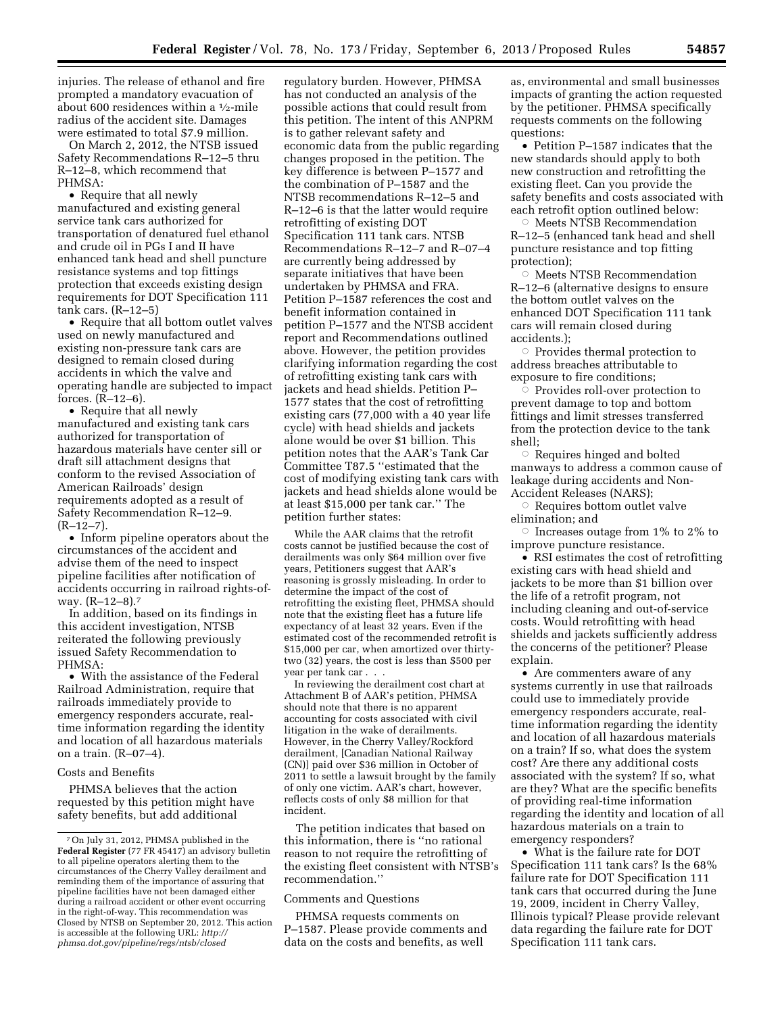injuries. The release of ethanol and fire prompted a mandatory evacuation of about 600 residences within a 1⁄2-mile radius of the accident site. Damages were estimated to total \$7.9 million.

On March 2, 2012, the NTSB issued Safety Recommendations R–12–5 thru R–12–8, which recommend that PHMSA:

• Require that all newly manufactured and existing general service tank cars authorized for transportation of denatured fuel ethanol and crude oil in PGs I and II have enhanced tank head and shell puncture resistance systems and top fittings protection that exceeds existing design requirements for DOT Specification 111 tank cars. (R–12–5)

• Require that all bottom outlet valves used on newly manufactured and existing non-pressure tank cars are designed to remain closed during accidents in which the valve and operating handle are subjected to impact forces. (R–12–6).

• Require that all newly manufactured and existing tank cars authorized for transportation of hazardous materials have center sill or draft sill attachment designs that conform to the revised Association of American Railroads' design requirements adopted as a result of Safety Recommendation R–12–9.  $(R-12-7)$ .

• Inform pipeline operators about the circumstances of the accident and advise them of the need to inspect pipeline facilities after notification of accidents occurring in railroad rights-ofway. (R–12–8).7

In addition, based on its findings in this accident investigation, NTSB reiterated the following previously issued Safety Recommendation to PHMSA:

• With the assistance of the Federal Railroad Administration, require that railroads immediately provide to emergency responders accurate, realtime information regarding the identity and location of all hazardous materials on a train. (R–07–4).

#### Costs and Benefits

PHMSA believes that the action requested by this petition might have safety benefits, but add additional

regulatory burden. However, PHMSA has not conducted an analysis of the possible actions that could result from this petition. The intent of this ANPRM is to gather relevant safety and economic data from the public regarding changes proposed in the petition. The key difference is between P–1577 and the combination of P–1587 and the NTSB recommendations R–12–5 and R–12–6 is that the latter would require retrofitting of existing DOT Specification 111 tank cars. NTSB Recommendations R–12–7 and R–07–4 are currently being addressed by separate initiatives that have been undertaken by PHMSA and FRA. Petition P–1587 references the cost and benefit information contained in petition P–1577 and the NTSB accident report and Recommendations outlined above. However, the petition provides clarifying information regarding the cost of retrofitting existing tank cars with jackets and head shields. Petition P– 1577 states that the cost of retrofitting existing cars (77,000 with a 40 year life cycle) with head shields and jackets alone would be over \$1 billion. This petition notes that the AAR's Tank Car Committee T87.5 ''estimated that the cost of modifying existing tank cars with jackets and head shields alone would be at least \$15,000 per tank car.'' The petition further states:

While the AAR claims that the retrofit costs cannot be justified because the cost of derailments was only \$64 million over five years, Petitioners suggest that AAR's reasoning is grossly misleading. In order to determine the impact of the cost of retrofitting the existing fleet, PHMSA should note that the existing fleet has a future life expectancy of at least 32 years. Even if the estimated cost of the recommended retrofit is \$15,000 per car, when amortized over thirtytwo (32) years, the cost is less than \$500 per year per tank car . . .

In reviewing the derailment cost chart at Attachment B of AAR's petition, PHMSA should note that there is no apparent accounting for costs associated with civil litigation in the wake of derailments. However, in the Cherry Valley/Rockford derailment, [Canadian National Railway (CN)] paid over \$36 million in October of 2011 to settle a lawsuit brought by the family of only one victim. AAR's chart, however, reflects costs of only \$8 million for that incident.

The petition indicates that based on this information, there is ''no rational reason to not require the retrofitting of the existing fleet consistent with NTSB's recommendation.''

#### Comments and Questions

PHMSA requests comments on P–1587. Please provide comments and data on the costs and benefits, as well

as, environmental and small businesses impacts of granting the action requested by the petitioner. PHMSA specifically requests comments on the following questions:

• Petition P–1587 indicates that the new standards should apply to both new construction and retrofitting the existing fleet. Can you provide the safety benefits and costs associated with each retrofit option outlined below:

Æ Meets NTSB Recommendation R–12–5 (enhanced tank head and shell puncture resistance and top fitting protection);

 $\circ$  Meets NTSB Recommendation R–12–6 (alternative designs to ensure the bottom outlet valves on the enhanced DOT Specification 111 tank cars will remain closed during accidents.);

 $\circ$  Provides thermal protection to address breaches attributable to exposure to fire conditions;

 $\overline{\circ}$  Provides roll-over protection to prevent damage to top and bottom fittings and limit stresses transferred from the protection device to the tank shell;

 $\circ$  Requires hinged and bolted manways to address a common cause of leakage during accidents and Non-Accident Releases (NARS);

 $\circ$  Requires bottom outlet valve elimination; and

 $\circ$  Increases outage from 1% to 2% to improve puncture resistance.

• RSI estimates the cost of retrofitting existing cars with head shield and jackets to be more than \$1 billion over the life of a retrofit program, not including cleaning and out-of-service costs. Would retrofitting with head shields and jackets sufficiently address the concerns of the petitioner? Please explain.

• Are commenters aware of any systems currently in use that railroads could use to immediately provide emergency responders accurate, realtime information regarding the identity and location of all hazardous materials on a train? If so, what does the system cost? Are there any additional costs associated with the system? If so, what are they? What are the specific benefits of providing real-time information regarding the identity and location of all hazardous materials on a train to emergency responders?

• What is the failure rate for DOT Specification 111 tank cars? Is the 68% failure rate for DOT Specification 111 tank cars that occurred during the June 19, 2009, incident in Cherry Valley, Illinois typical? Please provide relevant data regarding the failure rate for DOT Specification 111 tank cars.

<sup>7</sup>On July 31, 2012, PHMSA published in the **Federal Register** (77 FR 45417) an advisory bulletin to all pipeline operators alerting them to the circumstances of the Cherry Valley derailment and reminding them of the importance of assuring that pipeline facilities have not been damaged either during a railroad accident or other event occurring in the right-of-way. This recommendation was Closed by NTSB on September 20, 2012. This action is accessible at the following URL: *[http://](http://phmsa.dot.gov/pipeline/regs/ntsb/closed) [phmsa.dot.gov/pipeline/regs/ntsb/closed](http://phmsa.dot.gov/pipeline/regs/ntsb/closed)*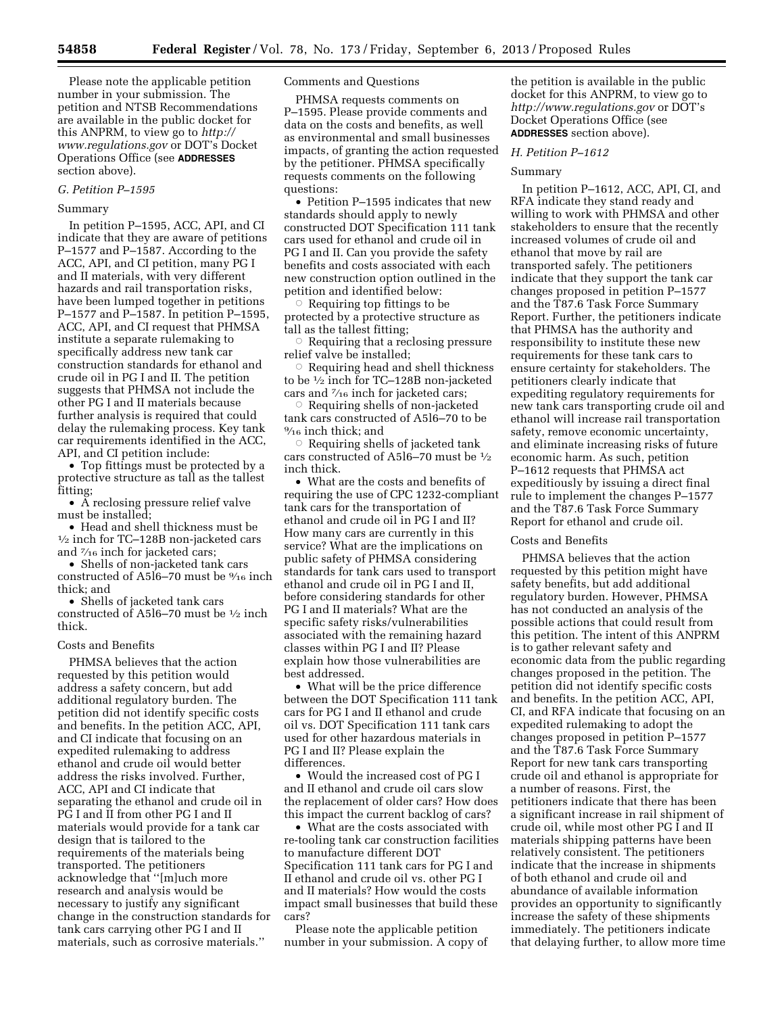Please note the applicable petition number in your submission. The petition and NTSB Recommendations are available in the public docket for this ANPRM, to view go to *[http://](http://www.regulations.gov) [www.regulations.gov](http://www.regulations.gov)* or DOT's Docket Operations Office (see **ADDRESSES** section above).

#### *G. Petition P–1595*

## Summary

In petition P–1595, ACC, API, and CI indicate that they are aware of petitions P–1577 and P–1587. According to the ACC, API, and CI petition, many PG I and II materials, with very different hazards and rail transportation risks, have been lumped together in petitions P–1577 and P–1587. In petition P–1595, ACC, API, and CI request that PHMSA institute a separate rulemaking to specifically address new tank car construction standards for ethanol and crude oil in PG I and II. The petition suggests that PHMSA not include the other PG I and II materials because further analysis is required that could delay the rulemaking process. Key tank car requirements identified in the ACC, API, and CI petition include:

• Top fittings must be protected by a protective structure as tall as the tallest fitting;

• A reclosing pressure relief valve

must be installed;<br>• Head and shell thickness must be  $\frac{1}{2}$  inch for TC–128B non-jacketed cars and 7⁄16 inch for jacketed cars;

• Shells of non-jacketed tank cars constructed of A5l6–70 must be 9⁄16 inch thick; and

• Shells of jacketed tank cars constructed of A5l6–70 must be 1⁄2 inch thick.

## Costs and Benefits

PHMSA believes that the action requested by this petition would address a safety concern, but add additional regulatory burden. The petition did not identify specific costs and benefits. In the petition ACC, API, and CI indicate that focusing on an expedited rulemaking to address ethanol and crude oil would better address the risks involved. Further, ACC, API and CI indicate that separating the ethanol and crude oil in PG I and II from other PG I and II materials would provide for a tank car design that is tailored to the requirements of the materials being transported. The petitioners acknowledge that ''[m]uch more research and analysis would be necessary to justify any significant change in the construction standards for tank cars carrying other PG I and II materials, such as corrosive materials.''

# Comments and Questions

PHMSA requests comments on P–1595. Please provide comments and data on the costs and benefits, as well as environmental and small businesses impacts, of granting the action requested by the petitioner. PHMSA specifically requests comments on the following questions:

• Petition P–1595 indicates that new standards should apply to newly constructed DOT Specification 111 tank cars used for ethanol and crude oil in PG I and II. Can you provide the safety benefits and costs associated with each new construction option outlined in the petition and identified below:

 $\circ$  Requiring top fittings to be protected by a protective structure as tall as the tallest fitting;

 $\circ$  Requiring that a reclosing pressure relief valve be installed;

 $\circ$  Requiring head and shell thickness to be 1⁄2 inch for TC–128B non-jacketed cars and 7⁄16 inch for jacketed cars;

 $\circ$  Requiring shells of non-jacketed tank cars constructed of A5l6–70 to be 9⁄16 inch thick; and

 $\circ$  Requiring shells of jacketed tank cars constructed of A5l6–70 must be 1⁄2 inch thick.

• What are the costs and benefits of requiring the use of CPC 1232-compliant tank cars for the transportation of ethanol and crude oil in PG I and II? How many cars are currently in this service? What are the implications on public safety of PHMSA considering standards for tank cars used to transport ethanol and crude oil in PG I and II, before considering standards for other PG I and II materials? What are the specific safety risks/vulnerabilities associated with the remaining hazard classes within PG I and II? Please explain how those vulnerabilities are best addressed.

• What will be the price difference between the DOT Specification 111 tank cars for PG I and II ethanol and crude oil vs. DOT Specification 111 tank cars used for other hazardous materials in PG I and II? Please explain the differences.

• Would the increased cost of PG I and II ethanol and crude oil cars slow the replacement of older cars? How does this impact the current backlog of cars?

• What are the costs associated with re-tooling tank car construction facilities to manufacture different DOT Specification 111 tank cars for PG I and II ethanol and crude oil vs. other PG I and II materials? How would the costs impact small businesses that build these cars?

Please note the applicable petition number in your submission. A copy of the petition is available in the public docket for this ANPRM, to view go to *<http://www.regulations.gov>* or DOT's Docket Operations Office (see **ADDRESSES** section above).

# *H. Petition P–1612*

#### Summary

In petition P–1612, ACC, API, CI, and RFA indicate they stand ready and willing to work with PHMSA and other stakeholders to ensure that the recently increased volumes of crude oil and ethanol that move by rail are transported safely. The petitioners indicate that they support the tank car changes proposed in petition P–1577 and the T87.6 Task Force Summary Report. Further, the petitioners indicate that PHMSA has the authority and responsibility to institute these new requirements for these tank cars to ensure certainty for stakeholders. The petitioners clearly indicate that expediting regulatory requirements for new tank cars transporting crude oil and ethanol will increase rail transportation safety, remove economic uncertainty, and eliminate increasing risks of future economic harm. As such, petition P–1612 requests that PHMSA act expeditiously by issuing a direct final rule to implement the changes P–1577 and the T87.6 Task Force Summary Report for ethanol and crude oil.

## Costs and Benefits

PHMSA believes that the action requested by this petition might have safety benefits, but add additional regulatory burden. However, PHMSA has not conducted an analysis of the possible actions that could result from this petition. The intent of this ANPRM is to gather relevant safety and economic data from the public regarding changes proposed in the petition. The petition did not identify specific costs and benefits. In the petition ACC, API, CI, and RFA indicate that focusing on an expedited rulemaking to adopt the changes proposed in petition P–1577 and the T87.6 Task Force Summary Report for new tank cars transporting crude oil and ethanol is appropriate for a number of reasons. First, the petitioners indicate that there has been a significant increase in rail shipment of crude oil, while most other PG I and II materials shipping patterns have been relatively consistent. The petitioners indicate that the increase in shipments of both ethanol and crude oil and abundance of available information provides an opportunity to significantly increase the safety of these shipments immediately. The petitioners indicate that delaying further, to allow more time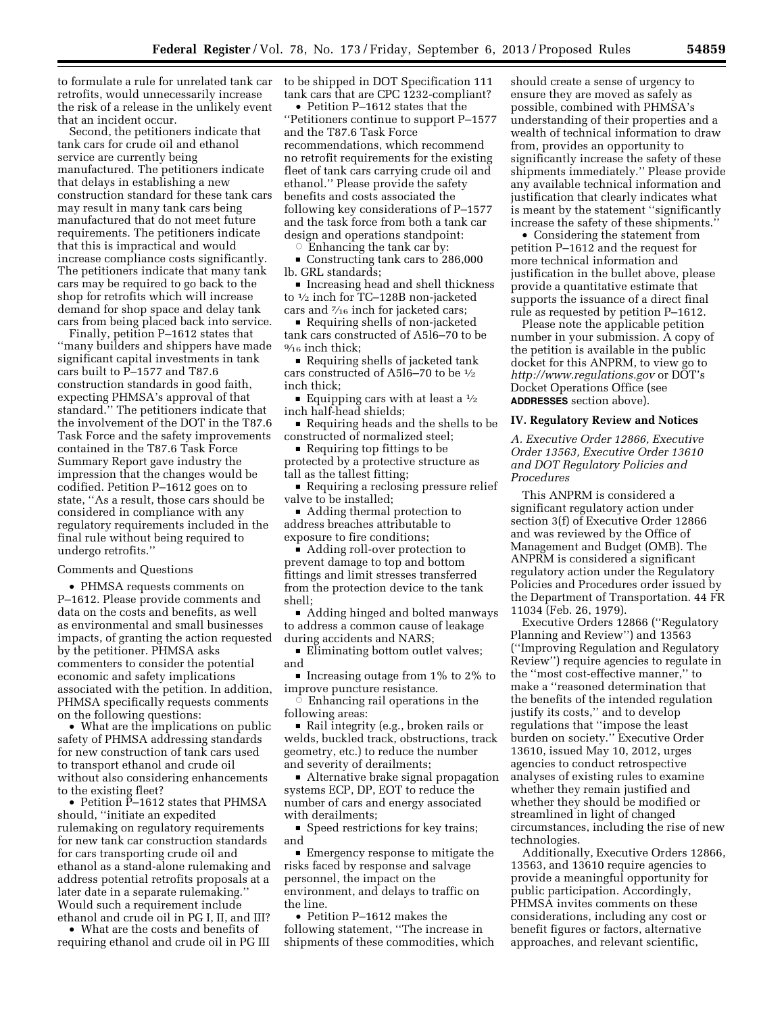to formulate a rule for unrelated tank car retrofits, would unnecessarily increase the risk of a release in the unlikely event that an incident occur.

Second, the petitioners indicate that tank cars for crude oil and ethanol service are currently being manufactured. The petitioners indicate that delays in establishing a new construction standard for these tank cars may result in many tank cars being manufactured that do not meet future requirements. The petitioners indicate that this is impractical and would increase compliance costs significantly. The petitioners indicate that many tank cars may be required to go back to the shop for retrofits which will increase demand for shop space and delay tank cars from being placed back into service.

Finally, petition P–1612 states that ''many builders and shippers have made significant capital investments in tank cars built to P–1577 and T87.6 construction standards in good faith, expecting PHMSA's approval of that standard.'' The petitioners indicate that the involvement of the DOT in the T87.6 Task Force and the safety improvements contained in the T87.6 Task Force Summary Report gave industry the impression that the changes would be codified. Petition P–1612 goes on to state, ''As a result, those cars should be considered in compliance with any regulatory requirements included in the final rule without being required to undergo retrofits.''

### Comments and Questions

• PHMSA requests comments on P–1612. Please provide comments and data on the costs and benefits, as well as environmental and small businesses impacts, of granting the action requested by the petitioner. PHMSA asks commenters to consider the potential economic and safety implications associated with the petition. In addition, PHMSA specifically requests comments on the following questions:

• What are the implications on public safety of PHMSA addressing standards for new construction of tank cars used to transport ethanol and crude oil without also considering enhancements to the existing fleet?

• Petition P–1612 states that PHMSA should, ''initiate an expedited rulemaking on regulatory requirements for new tank car construction standards for cars transporting crude oil and ethanol as a stand-alone rulemaking and address potential retrofits proposals at a later date in a separate rulemaking.'' Would such a requirement include ethanol and crude oil in PG I, II, and III?

• What are the costs and benefits of requiring ethanol and crude oil in PG III to be shipped in DOT Specification 111 tank cars that are CPC 1232-compliant?

• Petition P–1612 states that the ''Petitioners continue to support P–1577 and the T87.6 Task Force recommendations, which recommend no retrofit requirements for the existing fleet of tank cars carrying crude oil and ethanol.'' Please provide the safety benefits and costs associated the following key considerations of P–1577 and the task force from both a tank car design and operations standpoint:

 $\circ$  Enhancing the tank car by:

Gonstructing tank cars to 286,000 lb. GRL standards;

 $\bullet\,$  Increasing head and shell thickness to 1⁄2 inch for TC–128B non-jacketed cars and 7⁄16 inch for jacketed cars;

■ Requiring shells of non-jacketed tank cars constructed of A5l6–70 to be 9⁄16 inch thick;

Requiring shells of jacketed tank cars constructed of A5l6–70 to be 1⁄2 inch thick;

Equipping cars with at least a  $\frac{1}{2}$ inch half-head shields;

Requiring heads and the shells to be constructed of normalized steel;

 $\blacksquare$  Requiring top fittings to be protected by a protective structure as tall as the tallest fitting;

• Requiring a reclosing pressure relief valve to be installed;

■ Adding thermal protection to address breaches attributable to exposure to fire conditions;

■ Adding roll-over protection to prevent damage to top and bottom fittings and limit stresses transferred from the protection device to the tank shell;

Adding hinged and bolted manways to address a common cause of leakage during accidents and NARS;

■ Eliminating bottom outlet valves; and

 $\blacksquare$  Increasing outage from 1% to 2% to improve puncture resistance.

 $\vec{\circ}$  Enhancing rail operations in the following areas:

Rail integrity (e.g., broken rails or welds, buckled track, obstructions, track geometry, etc.) to reduce the number and severity of derailments;

■ Alternative brake signal propagation systems ECP, DP, EOT to reduce the number of cars and energy associated with derailments;

 $\blacksquare$  Speed restrictions for key trains; and

 $\blacksquare$  Emergency response to mitigate the risks faced by response and salvage personnel, the impact on the environment, and delays to traffic on the line.

• Petition P–1612 makes the following statement, ''The increase in shipments of these commodities, which should create a sense of urgency to ensure they are moved as safely as possible, combined with PHMSA's understanding of their properties and a wealth of technical information to draw from, provides an opportunity to significantly increase the safety of these shipments immediately.'' Please provide any available technical information and justification that clearly indicates what is meant by the statement ''significantly increase the safety of these shipments.''

• Considering the statement from petition P–1612 and the request for more technical information and justification in the bullet above, please provide a quantitative estimate that supports the issuance of a direct final rule as requested by petition P–1612.

Please note the applicable petition number in your submission. A copy of the petition is available in the public docket for this ANPRM, to view go to *<http://www.regulations.gov>* or DOT's Docket Operations Office (see **ADDRESSES** section above).

## **IV. Regulatory Review and Notices**

*A. Executive Order 12866, Executive Order 13563, Executive Order 13610 and DOT Regulatory Policies and Procedures* 

This ANPRM is considered a significant regulatory action under section 3(f) of Executive Order 12866 and was reviewed by the Office of Management and Budget (OMB). The ANPRM is considered a significant regulatory action under the Regulatory Policies and Procedures order issued by the Department of Transportation. 44 FR 11034 (Feb. 26, 1979).

Executive Orders 12866 (''Regulatory Planning and Review'') and 13563 (''Improving Regulation and Regulatory Review'') require agencies to regulate in the ''most cost-effective manner,'' to make a ''reasoned determination that the benefits of the intended regulation justify its costs,'' and to develop regulations that ''impose the least burden on society.'' Executive Order 13610, issued May 10, 2012, urges agencies to conduct retrospective analyses of existing rules to examine whether they remain justified and whether they should be modified or streamlined in light of changed circumstances, including the rise of new technologies.

Additionally, Executive Orders 12866, 13563, and 13610 require agencies to provide a meaningful opportunity for public participation. Accordingly, PHMSA invites comments on these considerations, including any cost or benefit figures or factors, alternative approaches, and relevant scientific,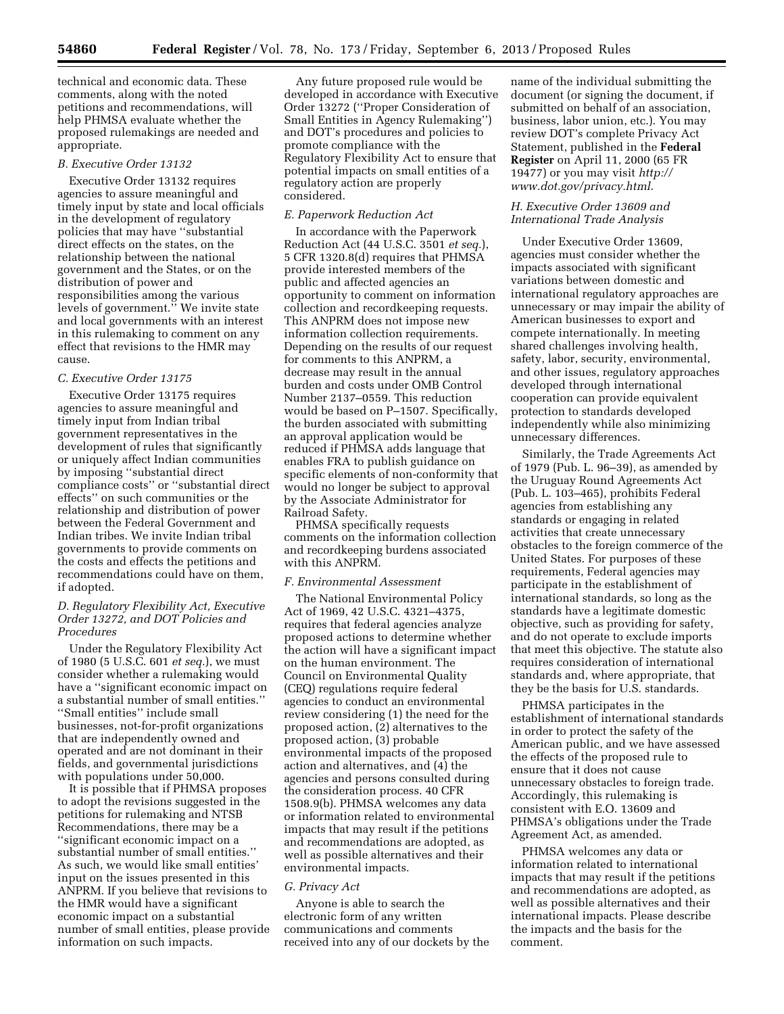technical and economic data. These comments, along with the noted petitions and recommendations, will help PHMSA evaluate whether the proposed rulemakings are needed and appropriate.

#### *B. Executive Order 13132*

Executive Order 13132 requires agencies to assure meaningful and timely input by state and local officials in the development of regulatory policies that may have ''substantial direct effects on the states, on the relationship between the national government and the States, or on the distribution of power and responsibilities among the various levels of government." We invite state and local governments with an interest in this rulemaking to comment on any effect that revisions to the HMR may cause.

# *C. Executive Order 13175*

Executive Order 13175 requires agencies to assure meaningful and timely input from Indian tribal government representatives in the development of rules that significantly or uniquely affect Indian communities by imposing ''substantial direct compliance costs'' or ''substantial direct effects'' on such communities or the relationship and distribution of power between the Federal Government and Indian tribes. We invite Indian tribal governments to provide comments on the costs and effects the petitions and recommendations could have on them, if adopted.

# *D. Regulatory Flexibility Act, Executive Order 13272, and DOT Policies and Procedures*

Under the Regulatory Flexibility Act of 1980 (5 U.S.C. 601 *et seq.*), we must consider whether a rulemaking would have a ''significant economic impact on a substantial number of small entities.'' ''Small entities'' include small businesses, not-for-profit organizations that are independently owned and operated and are not dominant in their fields, and governmental jurisdictions with populations under 50,000.

It is possible that if PHMSA proposes to adopt the revisions suggested in the petitions for rulemaking and NTSB Recommendations, there may be a ''significant economic impact on a substantial number of small entities.'' As such, we would like small entities' input on the issues presented in this ANPRM. If you believe that revisions to the HMR would have a significant economic impact on a substantial number of small entities, please provide information on such impacts.

Any future proposed rule would be developed in accordance with Executive Order 13272 (''Proper Consideration of Small Entities in Agency Rulemaking'') and DOT's procedures and policies to promote compliance with the Regulatory Flexibility Act to ensure that potential impacts on small entities of a regulatory action are properly considered.

#### *E. Paperwork Reduction Act*

In accordance with the Paperwork Reduction Act (44 U.S.C. 3501 *et seq.*), 5 CFR 1320.8(d) requires that PHMSA provide interested members of the public and affected agencies an opportunity to comment on information collection and recordkeeping requests. This ANPRM does not impose new information collection requirements. Depending on the results of our request for comments to this ANPRM, a decrease may result in the annual burden and costs under OMB Control Number 2137–0559. This reduction would be based on P–1507. Specifically, the burden associated with submitting an approval application would be reduced if PHMSA adds language that enables FRA to publish guidance on specific elements of non-conformity that would no longer be subject to approval by the Associate Administrator for Railroad Safety.

PHMSA specifically requests comments on the information collection and recordkeeping burdens associated with this ANPRM.

#### *F. Environmental Assessment*

The National Environmental Policy Act of 1969, 42 U.S.C. 4321–4375, requires that federal agencies analyze proposed actions to determine whether the action will have a significant impact on the human environment. The Council on Environmental Quality (CEQ) regulations require federal agencies to conduct an environmental review considering (1) the need for the proposed action, (2) alternatives to the proposed action, (3) probable environmental impacts of the proposed action and alternatives, and (4) the agencies and persons consulted during the consideration process. 40 CFR 1508.9(b). PHMSA welcomes any data or information related to environmental impacts that may result if the petitions and recommendations are adopted, as well as possible alternatives and their environmental impacts.

#### *G. Privacy Act*

Anyone is able to search the electronic form of any written communications and comments received into any of our dockets by the

name of the individual submitting the document (or signing the document, if submitted on behalf of an association, business, labor union, etc.). You may review DOT's complete Privacy Act Statement, published in the **Federal Register** on April 11, 2000 (65 FR 19477) or you may visit *[http://](http://www.dot.gov/privacy.html) [www.dot.gov/privacy.html](http://www.dot.gov/privacy.html)*.

# *H. Executive Order 13609 and International Trade Analysis*

Under Executive Order 13609, agencies must consider whether the impacts associated with significant variations between domestic and international regulatory approaches are unnecessary or may impair the ability of American businesses to export and compete internationally. In meeting shared challenges involving health, safety, labor, security, environmental, and other issues, regulatory approaches developed through international cooperation can provide equivalent protection to standards developed independently while also minimizing unnecessary differences.

Similarly, the Trade Agreements Act of 1979 (Pub. L. 96–39), as amended by the Uruguay Round Agreements Act (Pub. L. 103–465), prohibits Federal agencies from establishing any standards or engaging in related activities that create unnecessary obstacles to the foreign commerce of the United States. For purposes of these requirements, Federal agencies may participate in the establishment of international standards, so long as the standards have a legitimate domestic objective, such as providing for safety, and do not operate to exclude imports that meet this objective. The statute also requires consideration of international standards and, where appropriate, that they be the basis for U.S. standards.

PHMSA participates in the establishment of international standards in order to protect the safety of the American public, and we have assessed the effects of the proposed rule to ensure that it does not cause unnecessary obstacles to foreign trade. Accordingly, this rulemaking is consistent with E.O. 13609 and PHMSA's obligations under the Trade Agreement Act, as amended.

PHMSA welcomes any data or information related to international impacts that may result if the petitions and recommendations are adopted, as well as possible alternatives and their international impacts. Please describe the impacts and the basis for the comment.